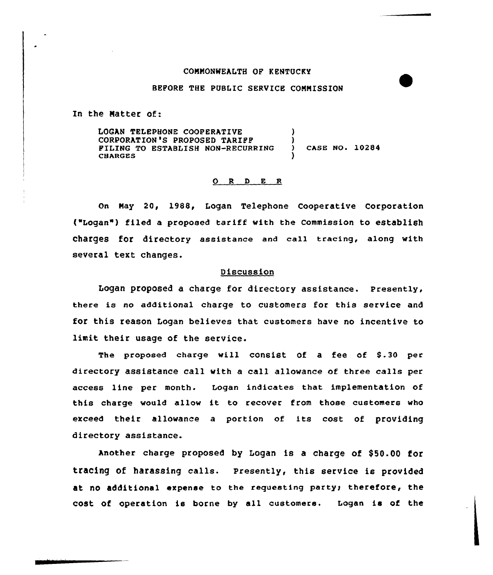## COMMONWEALTH OP KENTUCKY

## BEFORE THE PUBLIC SERVICE COMMISSION

In the Natter of:

LOGAN TELEPHONE COOPERATIVE CORPORATION'S PROPOSED TARIFF FILING TO ESTABLISH NON-RECURRING **CHARGES** ) ) ) CASE NO. 10284 )

## $O$  R  $D$  E R

On Nay 20, 198&, Logan Telephone Cooperative Corporation ("Legan") filed a proposed tariff with the Commission to establish charges for directory assistance and ca11 tracing, along with several text changes.

## Discussion

Logan proposed a charge for directory assistance. Presently, there is no additional charge to customers for this service and for this reason Logan believes that customers have no incentive to limit their usage of the service.

The proposed charge will consist of a fee of 8.30 per directory assistance call with a call allowance of three calls per access line per month. Logan indicates that implementation of this charge would allow it to recover from those customers who exceed their allowance <sup>a</sup> portion of its cost of providing directory assistance.

Another charge proposed by Logan is a charge of \$50.00 for tracing of harassing calls. Presently, this service is provided at no additional expense to the requesting party; therefore, the cost of operation is borne by all customers. Logan is of the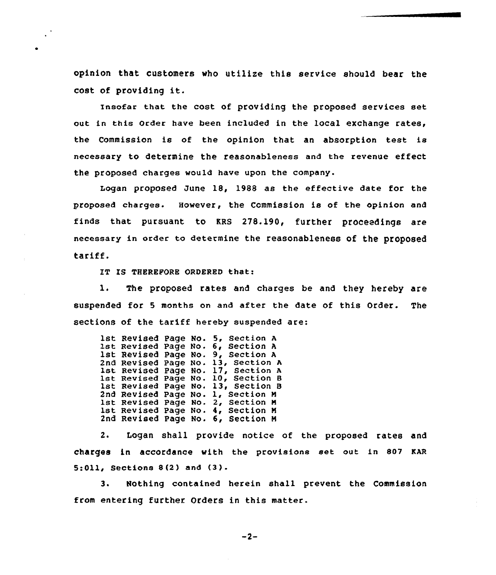opinion that customers who utilize this service should bear the cost of providing it.

insofar that the cost of providing the proposed services set out in this Order have been included in the local exchange rates, the Commission is of the opinion that an absorption test is necessary to determine the reasonableness and the revenue effect the proposed charges would have upon the company.

Logan proposed June 18, 1988 as the effective date for the proposed charges. However, the Commission is of the opinion and finds that pursuant to KRS 278.190, further proceedings are necessary in order to determine the reasonableness of the proposed tariff.

IT IS THEREFORE ORDERED that:

l. The proposed rates and charges be and they hereby are suspended for <sup>5</sup> months on and after the date of this Order. The sections of the tariff hereby suspended are:

1st Revised Page No. 5, Section A<br>1st Revised Page No. 6, Section A<br>1st Revised Page No. 9, Section A 2nd Revise<br>1st Revise<br>1st Revise<br>1st Revise 2nd Revise<br>1st Revise<br>1st Revise 2nd Revised Page No. 6, Section <sup>H</sup> Page No. 5, Section <sup>A</sup> Page No. 6, Section <sup>A</sup> Page No. 13, Section <sup>A</sup> Page No. 17, Section <sup>A</sup> Page No. 10, Section <sup>B</sup> Page No. 13, Section <sup>B</sup> Page No. 1, Section <sup>N</sup> Page No <sup>~</sup> Page No. 2, Section <sup>N</sup> 4, Section <sup>M</sup>

2. Logan shall provide notice of the proposed rates and charges in accordance with the provisions set out in 807 KAR 5:011, Sections <sup>8</sup> (2) and (3).

3. Nothing contained herein shall prevent the Commission from entering further Orders in this matter.

 $-2-$